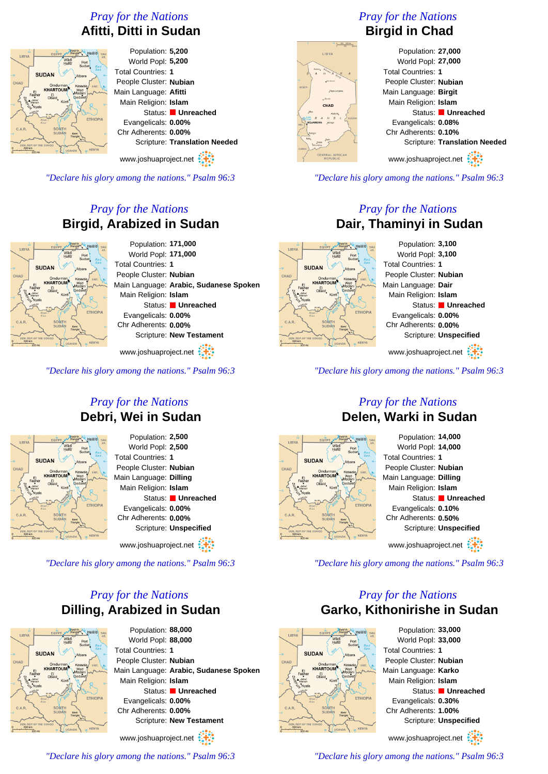## *Pray for the Nations* **Afitti, Ditti in Sudan**



Population: **5,200** World Popl: **5,200** Total Countries: **1** People Cluster: **Nubian** Main Language: **Afitti** Main Religion: **Islam** Status: **Unreached** Evangelicals: **0.00%** Chr Adherents: **0.00%** Scripture: **Translation Needed**

www.joshuaproject.net

*"Declare his glory among the nations." Psalm 96:3*

## *Pray for the Nations* **Birgid, Arabized in Sudan**



Population: **171,000** World Popl: **171,000** Total Countries: **1** People Cluster: **Nubian** Main Language: **Arabic, Sudanese Spoken** Main Religion: **Islam** Status: **Unreached** Evangelicals: **0.00%** Chr Adherents: **0.00%** Scripture: **New Testament**

www.joshuaproject.net

*"Declare his glory among the nations." Psalm 96:3*

### *Pray for the Nations* **Debri, Wei in Sudan**



Population: **2,500** World Popl: **2,500** Total Countries: **1** People Cluster: **Nubian** Main Language: **Dilling** Main Religion: **Islam** Status: **Unreached** Evangelicals: **0.00%** Chr Adherents: **0.00%** Scripture: **Unspecified**

www.joshuaproject.net

*"Declare his glory among the nations." Psalm 96:3*

## *Pray for the Nations* **Dilling, Arabized in Sudan**

**SUDAN** 

Population: **88,000** World Popl: **88,000** Total Countries: **1** People Cluster: **Nubian** Main Language: **Arabic, Sudanese Spoken** Main Religion: **Islam** Status: **Unreached** Evangelicals: **0.00%** Chr Adherents: **0.00%** Scripture: **New Testament**

www.joshuaproject.net

*"Declare his glory among the nations." Psalm 96:3*

## *Pray for the Nations* **Birgid in Chad**



#### Population: **27,000** World Popl: **27,000** Total Countries: **1** People Cluster: **Nubian** Main Language: **Birgit** Main Religion: **Islam** Status: **Unreached** Evangelicals: **0.08%** Chr Adherents: **0.10%** Scripture: **Translation Needed** www.joshuaproject.net

*"Declare his glory among the nations." Psalm 96:3*

## *Pray for the Nations* **Dair, Thaminyi in Sudan**



*"Declare his glory among the nations." Psalm 96:3*

#### *Pray for the Nations* **Delen, Warki in Sudan**



*"Declare his glory among the nations." Psalm 96:3*

### *Pray for the Nations* **Garko, Kithonirishe in Sudan**



Population: **33,000** World Popl: **33,000** Total Countries: **1** People Cluster: **Nubian** Main Language: **Karko** Main Religion: **Islam** Status: **Unreached** Evangelicals: **0.30%** Chr Adherents: **1.00%** Scripture: **Unspecified** www.joshuaproject.net

*"Declare his glory among the nations." Psalm 96:3*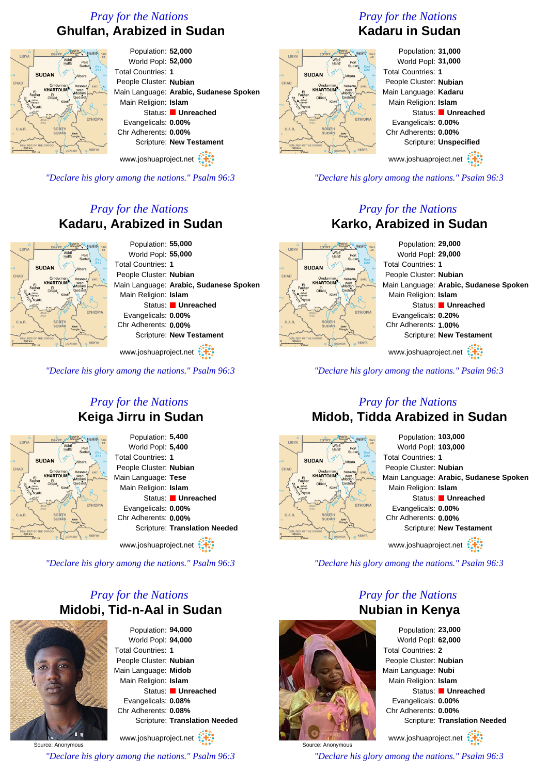## *Pray for the Nations* **Ghulfan, Arabized in Sudan**



*"Declare his glory among the nations." Psalm 96:3*

## *Pray for the Nations* **Kadaru, Arabized in Sudan**



Population: **55,000** World Popl: **55,000** Total Countries: **1** People Cluster: **Nubian** Main Language: **Arabic, Sudanese Spoken** Main Religion: **Islam** Status: **Unreached** Evangelicals: **0.00%** Chr Adherents: **0.00%** Scripture: **New Testament**

www.joshuaproject.net

*"Declare his glory among the nations." Psalm 96:3*

### *Pray for the Nations* **Keiga Jirru in Sudan**



Population: **5,400** World Popl: **5,400** Total Countries: **1** People Cluster: **Nubian** Main Language: **Tese** Main Religion: **Islam** Status: **Unreached** Evangelicals: **0.00%** Chr Adherents: **0.00%** Scripture: **Translation Needed**

www.joshuaproject.net

*"Declare his glory among the nations." Psalm 96:3*

## *Pray for the Nations* **Midobi, Tid-n-Aal in Sudan**



Source: Anonymous

Population: **94,000** World Popl: **94,000** Total Countries: **1** People Cluster: **Nubian** Main Language: **Midob** Main Religion: **Islam** Status: **Unreached** Evangelicals: **0.08%** Chr Adherents: **0.08%** Scripture: **Translation Needed**

www.joshuaproject.net

*"Declare his glory among the nations." Psalm 96:3*

## *Pray for the Nations* **Kadaru in Sudan**



Population: **31,000** World Popl: **31,000** Total Countries: **1** People Cluster: **Nubian** Main Language: **Kadaru** Main Religion: **Islam** Status: **Unreached** Evangelicals: **0.00%** Chr Adherents: **0.00%** Scripture: **Unspecified**

www.joshuaproject.net

*"Declare his glory among the nations." Psalm 96:3*

### *Pray for the Nations* **Karko, Arabized in Sudan**

Population: **29,000** World Popl: **29,000** Total Countries: **1** People Cluster: **Nubian** Main Language: **Arabic, Sudanese Spoken** Main Religion: **Islam** Status: **Unreached** Evangelicals: **0.20%** Chr Adherents: **1.00%** Scripture: **New Testament** www.joshuaproject.net

*"Declare his glory among the nations." Psalm 96:3*

#### *Pray for the Nations* **Midob, Tidda Arabized in Sudan**



**SUDAN** 

Population: **103,000** World Popl: **103,000** Total Countries: **1** People Cluster: **Nubian** Main Language: **Arabic, Sudanese Spoken** Main Religion: **Islam** Status: **Unreached** Evangelicals: **0.00%** Chr Adherents: **0.00%** Scripture: **New Testament** www.joshuaproject.net

*"Declare his glory among the nations." Psalm 96:3*

### *Pray for the Nations* **Nubian in Kenya**



*"Declare his glory among the nations." Psalm 96:3*



Source: Anonymous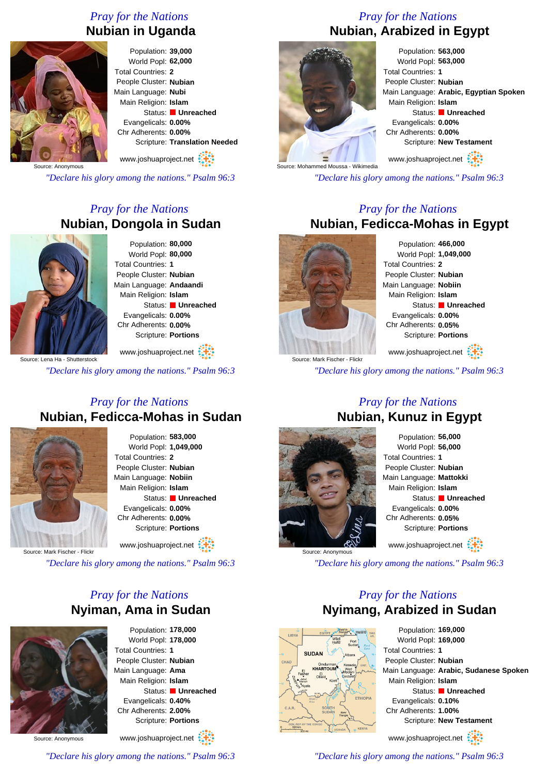## *Pray for the Nations* **Nubian in Uganda**



Population: **39,000** World Popl: **62,000** Total Countries: **2** People Cluster: **Nubian** Main Language: **Nubi** Main Religion: **Islam** Status: **Unreached** Evangelicals: **0.00%** Chr Adherents: **0.00%** Scripture: **Translation Needed**

www.joshuaproject.net

Source: Anonymous

*"Declare his glory among the nations." Psalm 96:3*

## *Pray for the Nations* **Nubian, Dongola in Sudan**



Population: **80,000** World Popl: **80,000** Total Countries: **1** People Cluster: **Nubian** Main Language: **Andaandi** Main Religion: **Islam** Status: **Unreached** Evangelicals: **0.00%** Chr Adherents: **0.00%** Scripture: **Portions**

www.joshuaproject.net

ce: Lena Ha - Shutterstock

*"Declare his glory among the nations." Psalm 96:3*

#### *Pray for the Nations* **Nubian, Fedicca-Mohas in Sudan**



Population: **583,000** World Popl: **1,049,000** Total Countries: **2** People Cluster: **Nubian** Main Language: **Nobiin** Main Religion: **Islam** Status: **Unreached** Evangelicals: **0.00%** Chr Adherents: **0.00%** Scripture: **Portions**

www.joshuaproject.net

Source: Mark Fischer - Flickr

*"Declare his glory among the nations." Psalm 96:3*

## *Pray for the Nations* **Nyiman, Ama in Sudan**



Population: **178,000** World Popl: **178,000** Total Countries: **1** People Cluster: **Nubian** Main Language: **Ama** Main Religion: **Islam** Status: **Unreached** Evangelicals: **0.40%** Chr Adherents: **2.00%** Scripture: **Portions** www.joshuaproject.net

Source: Anonymous

*"Declare his glory among the nations." Psalm 96:3*

# *Pray for the Nations* **Nubian, Arabized in Egypt**



Population: **563,000** World Popl: **563,000** Total Countries: **1** People Cluster: **Nubian** Main Language: **Arabic, Egyptian Spoken** Main Religion: **Islam** Status: **Unreached** Evangelicals: **0.00%** Chr Adherents: **0.00%** Scripture: **New Testament**

www.joshuaproject.net

*"Declare his glory among the nations." Psalm 96:3*

#### *Pray for the Nations* **Nubian, Fedicca-Mohas in Egypt**



Population: **466,000** World Popl: **1,049,000** Total Countries: **2** People Cluster: **Nubian** Main Language: **Nobiin** Main Religion: **Islam** Status: **Unreached** Evangelicals: **0.00%** Chr Adherents: **0.05%** Scripture: **Portions** www.joshuaproject.net

*"Declare his glory among the nations." Psalm 96:3*

#### *Pray for the Nations* **Nubian, Kunuz in Egypt**



Population: **56,000** World Popl: **56,000** Total Countries: **1** People Cluster: **Nubian** Main Language: **Mattokki** Main Religion: **Islam** Status: **Unreached** Evangelicals: **0.00%** Chr Adherents: **0.05%** Scripture: **Portions** www.joshuaproject.net

*"Declare his glory among the nations." Psalm 96:3*

## *Pray for the Nations* **Nyimang, Arabized in Sudan**



Population: **169,000** World Popl: **169,000** Total Countries: **1** People Cluster: **Nubian** Main Language: **Arabic, Sudanese Spoken** Main Religion: **Islam** Status: **Unreached** Evangelicals: **0.10%** Chr Adherents: **1.00%** Scripture: **New Testament** www.joshuaproject.net

*"Declare his glory among the nations." Psalm 96:3*